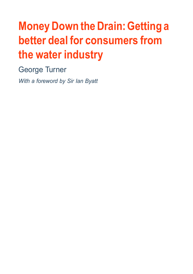# **Money Down the Drain:Getting a better deal for consumers from the water industry**

George Turner

*With a foreword by Sir Ian Byatt*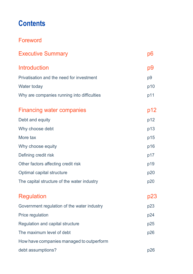#### **Contents**

#### Foreword

| <b>Executive Summary</b>                    | p6             |
|---------------------------------------------|----------------|
| <b>Introduction</b>                         | р9             |
| Privatisation and the need for investment   | p <sub>9</sub> |
| Water today                                 | p10            |
| Why are companies running into difficulties | p11            |
| <b>Financing water companies</b>            | p12            |
| Debt and equity                             | p12            |
| Why choose debt                             | p13            |
| More tax                                    | p15            |
| Why choose equity                           | p16            |
| Defining credit risk                        | p17            |
| Other factors affecting credit risk         | p19            |
| Optimal capital structure                   | p20            |
| The capital structure of the water industry | p20            |
| <b>Regulation</b>                           | p23            |
| Government regulation of the water industry | p23            |
| Price regulation                            | p24            |
| Regulation and capital structure            | p25            |
| The maximum level of debt                   | p26            |
| How have companies managed to outperform    |                |
| debt assumptions?                           | p26            |
|                                             |                |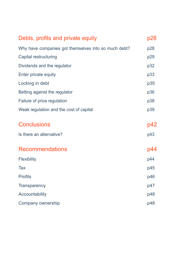| Debts, profits and private equity                    | p28 |
|------------------------------------------------------|-----|
| Why have companies got themselves into so much debt? | p28 |
| Capital restructuring                                | p29 |
| Dividends and the regulator                          | p32 |
| Enter private equity                                 | p33 |
| Locking in debt                                      | p35 |
| Betting against the regulator                        | p36 |
| Failure of price regulation                          | p38 |
| Weak regulation and the cost of capital              | p39 |
| <b>Conclusions</b>                                   | p42 |
| Is there an alternative?                             | p43 |
|                                                      |     |
| <b>Recommendations</b>                               | p44 |
| <b>Flexibility</b>                                   | p44 |
| Tax                                                  | p45 |
| <b>Profits</b>                                       | p46 |
| <b>Transparency</b>                                  | p47 |
| Accountability                                       | p48 |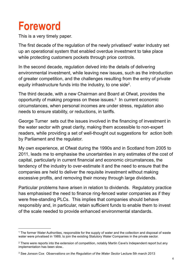## **Foreword**

This is a very timely paper.

The first decade of the regulation of the newly privatised<sup>1</sup> water industry set up an operational system that enabled overdue investment to take place while protecting customers pockets through price controls.

In the second decade, regulation delved into the details of delivering environmental investment, while leaving new issues, such as the introduction of greater competition, and the challenges resulting from the entry of private equity infrastructure funds into the industry, to one side2.

The third decade, with a new Chairman and Board at Ofwat, provides the opportunity of making progress on these issues. 3 In current economic circumstances, when personal incomes are under stress, regulation also needs to ensure stability, or reductions, in tariffs.

George Turner sets out the issues involved in the financing of investment in the water sector with great clarity, making them accessible to non-expert readers, while providing a set of well-thought out suggestions for action both by Parliament and the regulator.

My own experience, at Ofwat during the 1990s and in Scotland from 2005 to 2011, leads me to emphasise the uncertainties in any estimates of the cost of capital, particularly in current financial and economic circumstances, the tendency of the industry to over-estimate it and the need to ensure that the companies are held to deliver the requisite investment without making excessive profits, and removing their money through large dividends.

Particular problems have arisen in relation to dividends. Regulatory practice has emphasised the need to finance ring-fenced water companies as if they were free-standing PLCs. This implies that companies should behave responsibly and, in particular, retain sufficient funds to enable them to invest of the scale needed to provide enhanced environmental standards.

<sup>1</sup> The former Water Authorities, responsible for the supply of water and the collection and disposal of waste water were privatised in 1989, to join the existing Statutory Water Companies in the private sector.

<sup>&</sup>lt;sup>2</sup> There were reports into the extension of competition, notably Martin Cave's Independent report but any implementation has been slow..

<sup>3</sup> See Jonson Cox *Observations on the Regulation of the Water Sector* Lecture 5th march 2013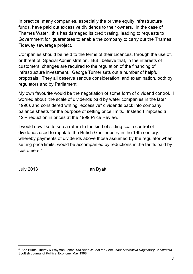In practice, many companies, especially the private equity infrastructure funds, have paid out excessive dividends to their owners. In the case of Thames Water , this has damaged its credit rating, leading to requests to Government for guarantees to enable the company to carry out the Thames Tideway sewerage project.

Companies should be held to the terms of their Licences, through the use of, or threat of, Special Administration. But I believe that, in the interests of customers, changes are required to the regulation of the financing of infrastructure investment. George Turner sets out a number of helpful proposals. They all deserve serious consideration and examination, both by regulators and by Parliament.

My own favourite would be the negotiation of some form of dividend control. I worried about the scale of dividends paid by water companies in the later 1990s and considered writing "excessive" dividends back into company balance sheets for the purpose of setting price limits. Instead I imposed a 12% reduction in prices at the 1999 Price Review.

I would now like to see a return to the kind of sliding scale control of dividends used to regulate the British Gas industry in the 19th century, whereby payments of dividends above those assumed by the regulator when setting price limits, would be accompanied by reductions in the tariffs paid by customers.4

July 2013 **Ian Byatt** 

<sup>4</sup> See Burns, Turvey & Weyman-Jones *The Behaviour of the Firm under Alternative Regulatory Constraints* Scottish Journal of Political Economy May 1998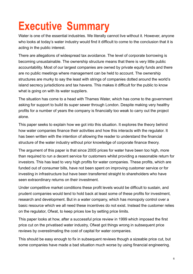# **Executive Summary**

Water is one of the essential industries. We literally cannot live without it. However, anyone who looks at today's water industry would find it difficult to come to the conclusion that it is acting in the public interest.

There are allegations of widespread tax avoidance. The level of corporate borrowing is becoming unsustainable. The ownership structure means that there is very little public accountability. Most of our largest companies are owned by private equity funds and there are no public meetings where management can be held to account. The ownership structures are murky to say the least with strings of companies dotted around the world's island secrecy jurisdictions and tax havens. This makes it difficult for the public to know what is going on with its water suppliers.

The situation has come to a head with Thames Water, which has come to the government asking for support to build its super sewer through London. Despite making very healthy profits for a number of years the company is financially too weak to carry out the project alone.

This paper seeks to explain how we got into this situation. It explores the theory behind how water companies finance their activities and how this interacts with the regulator. It has been written with the intention of allowing the reader to understand the financial structure of the water industry without prior knowledge of corporate finance theory.

The argument of this paper is that since 2005 prices for water have been too high, more than required to run a decent service for customers whilst providing a reasonable return for investors. This has lead to very high profits for water companies. These profits, which are funded out of consumer bills, have not been spent on improving customer service or for investing in infrastructure but have been transferred straight to shareholders who have seen extraordinary returns on their investment.

Under competitive market conditions these profit levels would be difficult to sustain, and prudent companies would tend to hold back at least some of these profits for investment, research and development. But in a water company, which has monopoly control over a basic resource which we all need these incentives do not exist. Instead the customer relies on the regulator, Ofwat, to keep prices low by setting price limits.

This paper looks at how, after a successful price review in 1999 which imposed the first price cut on the privatised water industry, Ofwat got things wrong in subsequent price reviews by overestimating the cost of capital for water companies.

This should be easy enough to fix in subsequent reviews though a sizeable price cut, but some companies have made a bad situation much worse by using financial engineering.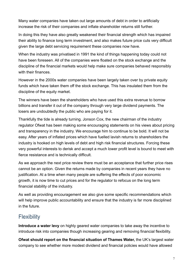Many water companies have taken out large amounts of debt in order to artificially increase the risk of their companies and inflate shareholder returns still further.

In doing this they have also greatly weakened their financial strength which has impaired their ability to finance long term investment, and also makes future price cuts very difficult given the large debt servicing requirement these companies now have.

When the industry was privatised in 1991 the kind of things happening today could not have been foreseen. All of the companies were floated on the stock exchange and the discipline of the financial markets would help make sure companies behaved responsibly with their finances

However in the 2000s water companies have been largely taken over by private equity funds which have taken them off the stock exchange. This has insulated them from the discipline of the equity market.

The winners have been the shareholders who have used this extra revenue to borrow billions and transfer it out of the company through very large dividend payments. The losers are undoubtedly the public who are paying for it.

Thankfully the tide is already turning. Jonson Cox, the new chairman of the industry regulator Ofwat has been making some encouraging statements on his views about pricing and transparency in the industry. We encourage him to continue to be bold. It will not be easy. After years of inflated prices which have fuelled lavish returns to shareholders the industry is hooked on high levels of debt and high risk financial structures. Forcing these very powerful interests to derisk and accept a much lower profit level is bound to meet with fierce resistance and is technically difficult.

As we approach the next price review there must be an acceptance that further price rises cannot be an option. Given the returns made by companies in recent years they have no justification. At a time when many people are suffering the effects of poor economic growth, it is now time to cut prices and for the regulator to refocus on the long term financial stability of the industry.

As well as providing encouragement we also give some specific recommendations which will help improve public accountability and ensure that the industry is far more disciplined in the future.

#### **Flexibility**

**Introduce a water levy** on highly geared water companies to take away the incentive to introduce risk into companies though increasing gearing and removing financial flexibility.

**Ofwat should report on the financial situation of Thames Water,** the UK's largest water company to see whether more modest dividend and financial policies would have allowed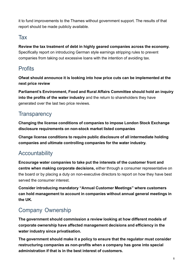it to fund improvements to the Thames without government support. The results of that report should be made publicly available.

#### Tax

**Review the tax treatment of debt in highly geared companies across the economy.** Specifically report on introducing German style earnings stripping rules to prevent companies from taking out excessive loans with the intention of avoiding tax.

#### **Profits**

**Ofwat should announce it is looking into how price cuts can be implemented at the next price review**

**Parliament's Environment, Food and Rural Affairs Committee should hold an inquiry into the profits of the water industry** and the return to shareholders they have generated over the last two price reviews.

#### **Transparency**

**Changing the license conditions of companies to impose London Stock Exchange disclosure requirements on non-stock market listed companies**

**Change license conditions to require public disclosure of all intermediate holding companies and ultimate controlling companies for the water industry.**

#### Accountability

**Encourage water companies to take put the interests of the customer front and centre when making corporate decisions,** either through a consumer representative on the board or by placing a duty on non-executive directors to report on how they have best served the consumer interest.

**Consider introducing mandatory "Annual Customer Meetings" where customers can hold management to account in companies without annual general meetings in the UK.**

#### Company Ownership

**The government should commission a review looking at how different models of corporate ownership have affected management decisions and efficiency in the water industry since privatisation.**

**The government should make it a policy to ensure that the regulator must consider restructuring companies as non-profits when a company has gone into special administration if that is in the best interest of customers.**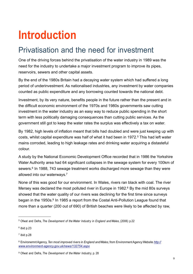## **Introduction**

#### Privatisation and the need for investment

One of the driving forces behind the privatisation of the water industry in 1989 was the need for the industry to undertake a major investment program to improve its pipes, reservoirs, sewers and other capital assets.

By the end of the 1980s Britain had a decaying water system which had suffered a long period of underinvestment. As nationalised industries, any investment by water companies counted as public expenditure and any borrowing counted towards the national debt.

Investment, by its very nature, benefits people in the future rather than the present and in the difficult economic environment of the 1970s and 1980s governments saw cutting investment in the water industry as an easy way to reduce public spending in the short term with less politically damaging consequences than cutting public services. As the government still got to keep the water rates the surplus was effectively a tax on water.

By 1982, high levels of inflation meant that bills had doubled and were just keeping up with costs, whilst capital expenditure was half of what it had been in 1972.<sup>5</sup> This had left water mains corroded, leading to high leakage rates and drinking water acquiring a distasteful colour.

A study by the National Economic Development Office recorded that in 1986 the Yorkshire Water Authority area had 64 significant collapses in the sewage system for every 100km of sewers. <sup>6</sup> In 1988, 743 sewage treatment works discharged more sewage than they were allowed into our waterways. 7

None of this was good for our environment. In Wales, rivers ran black with coal. The river Mersey was declared the most polluted river in Europe in 1982. <sup>8</sup> By the mid 80s surveys showed that the water quality of our rivers was declining for the first time since surveys began in the 1950s.<sup>9</sup> In 1985 a report from the Costal Anti-Pollution League found that more than a quarter (200 out of 690) of British beaches were likely to be affected by raw,

<sup>5</sup> Ofwat and Defra, *The Development of the Water Industry in England and Wales*, (2006) p.22

 $6$  ibid p.23

<sup>7</sup> ibid p.28

<sup>8</sup> EnvironemntAgency, *Ten most improved rivers in England andWales*, from EnvironmentAgencyWebsite *http:// www.environment-agency.gov.uk/news/132754.aspx*

<sup>9</sup> Ofwat and Defra, *The Development of the Water Industry*, p. 28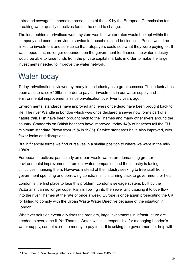untreated sewage. <sup>10</sup> Impending prosecution of the UK by the European Commission for breaking water quality directives forced the need to change.

The idea behind a privatised water system was that water rates would be kept within the company and used to provide a service to households and businesses. Prices would be linked to investment and service so that ratepayers could see what they were paying for. It was hoped that, no longer dependent on the government for finance, the water industry would be able to raise funds from the private capital markets in order to make the large investments needed to improve the water network.

## Water today

Today, privatisation is viewed by many in the industry as a great success. The industry has been able to raise £108bn in order to pay for investment in our water supply and environmental improvements since privatisation over twenty years ago.

Environmental standards have improved and rivers once dead have been brought back to life. The river Wandle in London which was once declared a sewer now forms part of a nature trail. Fish have been brought back to the Thames and many other rivers around the country. Standards on British beaches have improved; today 14% of beaches fail the EU minimum standard (down from 29% in 1985). Service standards have also improved, with fewer leaks and disruptions.

But in financial terms we find ourselves in a similar position to where we were in the mid-1980s.

European directives, particularly on urban waste water, are demanding greater environmental improvements from our water companies and the industry is facing difficulties financing them. However, instead of the industry seeking to free itself from government spending and borrowing constraints, it is turning back to government for help.

London is the first place to face this problem. London's sewage system, built by the Victorians, can no longer cope. Rain is flowing into the sewer and causing it to overflow into the river Thames at the rate of once a week. Europe is once again prosecuting the UK for failing to comply with the Urban Waste Water Directive because of the situation in London.

Whatever solution eventually fixes the problem, large investments in infrastructure are needed to overcome it. Yet Thames Water, which is responsible for managing London's water supply, cannot raise the money to pay for it. It is asking the government for help with

<sup>10</sup> The Times, "Raw Sewage affects 200 beaches", 19 June 1985 p.3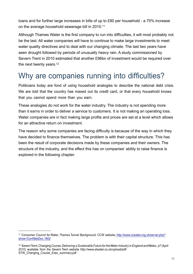loans and for further large increases in bills of up to £80 per household - a 75% increase on the average household sewerage bill in 2010.<sup>11</sup>

Although Thames Water is the first company to run into difficulties, it will most probably not be the last. All water companies will have to continue to make large investments to meet water quality directives and to deal with our changing climate. The last two years have seen drought followed by periods of unusually heavy rain. A study commissioned by Severn Trent in 2010 estimated that another £96bn of investment would be required over the next twenty years. 12

### Why are companies running into difficulties?

Politicians today are fond of using household analogies to describe the national debt crisis. We are told that the country has maxed out its credit card, or that every household knows that you cannot spend more than you earn.

These analogies do not work for the water industry. The industry is not spending more than it earns in order to deliver a service to customers. It is not making an operating loss. Water companies are in fact making large profits and prices are set at a level which allows for an attractive return on investment.

The reason why some companies are facing difficulty is because of the way in which they have decided to finance themselves. The problem is with their capital structure. This has been the result of corporate decisions made by these companies and their owners. The structure of the industry, and the effect this has on companies' ability to raise finance is explored in the following chapter.

<sup>11</sup> Consumer Council for Water, *Thames Tunnel Background,* CCW website, http://www.ccwater.org.uk/server.php? show=ConWebDoc.1802

<sup>12</sup> SevernTrent,Changing Course:*Delivering a Sustainable Future for theWater Industry in England andWales*, p7 (April 2010) available from the Severn Trent website http://www.stwater.co.uk/upload/pdf/ STW Changing Course Exec\_summary.pdf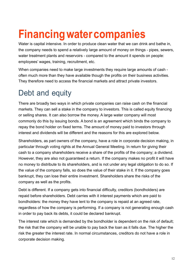# **Financingwatercompanies**

Water is capital intensive. In order to produce clean water that we can drink and bathe in, the company needs to spend a relatively large amount of money on things - pipes, sewers, water treatment plants and reservoirs - compared to the amount it spends on people: employees' wages, training, recruitment, etc.

When companies need to make large investments they require large amounts of cash often much more than they have available though the profits on their business activities. They therefore need to access the financial markets and attract private investors.

### Debt and equity

There are broadly two ways in which private companies can raise cash on the financial markets. They can sell a stake in the company to investors. This is called equity financing or selling shares. It can also borrow the money. A large water company will most commonly do this by issuing bonds. A bond is an agreement which binds the company to repay the bond holder on fixed terms. The amount of money paid to investors through interest and dividends will be different and the reasons for this are explored below.

Shareholders, as part owners of the company, have a role in corporate decision making, in particular through voting rights at the Annual General Meeting. In return for giving their cash to a company shareholders receive a share of the profits of the company; a dividend. However, they are also not guaranteed a return. If the company makes no profit it will have no money to distribute to its shareholders, and is not under any legal obligation to do so. If the value of the company falls, so does the value of their stake in it. If the company goes bankrupt, they can lose their entire investment. Shareholders share the risks of the company as well as the profits.

Debt is different. If a company gets into financial difficulty, creditors (bondholders) are repaid before shareholders. Debt carries with it interest payments which are paid to bondholders: the money they have lent to the company is repaid at an agreed rate, regardless of how the company is performing. If a company is not generating enough cash in order to pay back its debts, it could be declared bankrupt.

The interest rate which is demanded by the bondholder is dependent on the risk of default; the risk that the company will be unable to pay back the loan as it falls due. The higher the risk the greater the interest rate. In normal circumstances, creditors do not have a role in corporate decision making.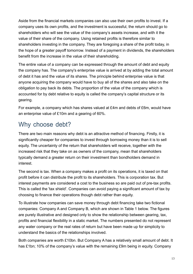Aside from the financial markets companies can also use their own profits to invest. If a company uses its own profits, and the investment is successful, the return should go to shareholders who will see the value of the company's assets increase, and with it the value of their share of the company. Using retained profits is therefore similar to shareholders investing in the company. They are foregoing a share of the profit today, in the hope of a greater payoff tomorrow. Instead of a payment in dividends, the shareholders benefit from the increase in the value of their shareholding.

The entire value of a company can be expressed through the amount of debt and equity the company has. The company's enterprise value is arrived at by adding the total amount of debt it has and the value of its shares. The principle behind enterprise value is that anyone acquiring the company would have to buy all of the shares and also take on the obligation to pay back its debts. The proportion of the value of the company which is accounted for by debt relative to equity is called the company's capital structure or its gearing.

For example, a company which has shares valued at £4m and debts of £6m, would have an enterprise value of £10m and a gearing of 60%.

#### Why choose debt?

There are two main reasons why debt is an attractive method of financing. Firstly, it is significantly cheaper for companies to invest through borrowing money than it is to sell equity. The uncertainty of the return that shareholders will receive, together with the increased risk that they take on as owners of the company, mean that shareholders typically demand a greater return on their investment than bondholders demand in interest.

The second is tax. When a company makes a profit on its operations, it is taxed on that profit before it can distribute the profit to its shareholders. This is corporation tax. But interest payments are considered a cost to the business so are paid out of pre-tax profits. This is called the 'tax shield'. Companies can avoid paying a significant amount of tax by choosing to finance their operations though debt rather than equity.

To illustrate how companies can save money through debt financing take two fictional companies: Company A and Company B, which are shown in Table 1 below. The figures are purely illustrative and designed only to show the relationship between gearing, tax, profits and financial flexibility in a static market. The numbers presented do not represent any water company or the real rates of return but have been made up for simplicity to understand the basics of the relationships involved.

Both companies are worth £10bn. But Company A has a relatively small amount of debt. It has £1bn; 10% of the company's value with the remaining £9m being in equity. Company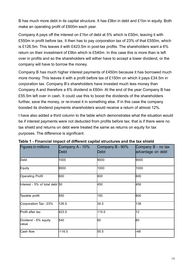B has much more debt in its capital structure. It has £9bn in debt and £1bn in equity. Both make an operating profit of £600m each year.

Company A pays off the interest on £1bn of debt at 5% which is £50m, leaving it with £550m in profit before tax. It then has to pay corporation tax of 23% of that £550m, which is £126.5m. This leaves it with £423.5m in post-tax profits. The shareholders want a 6% return on their investment of £9bn which is £540m. In this case this is more than is left over in profits and so the shareholders will either have to accept a lower dividend, or the company will have to borrow the money.

Company B has much higher interest payments of £450m because it has borrowed much more money. This leaves it with a profit before tax of £150m on which it pays £34.5m in corporation tax. Company B's shareholders have invested much less money than Company A and therefore a 6% dividend is £60m. At the end of the year Company B has £55.5m left over in cash. It could use this to boost the dividends of the shareholders further, save the money, or re-invest it in something else. If in this case the company boosted its dividend payments shareholders would receive a return of almost 12%.

I have also added a third column to the table which demonstrates what the situation would be if interest payments were not deducted from profits before tax; that is if there were no tax shield and returns on debt were treated the same as returns on equity for tax purposes. The difference is significant.

| Figures in millions            | Company A - 10%<br>Debt | Company B - 90%<br>Debt | Company B - no tax<br>advantage on debt |  |
|--------------------------------|-------------------------|-------------------------|-----------------------------------------|--|
| Debt                           | 1000                    | 9000                    | 9000                                    |  |
| Equity                         | 9000                    | 1000                    | 1000                                    |  |
| <b>Operating Profit</b>        | 600                     | 600                     | 600                                     |  |
| Interest - 5% of total debt 50 |                         | 450                     | 450                                     |  |
| Taxable profit                 | 550                     | 150                     | 600                                     |  |
| Corporation Tax - 23%          | 126.5                   | 34.5                    | 138                                     |  |
| Profit after tax               | 423.5                   | 115.5                   | 12                                      |  |
| Dividend - 6% equity<br>value  | 540                     | 60                      | 60                                      |  |
| Cash flow                      | $-116.5$                | 55.5                    | $-48$                                   |  |

**Table 1 - Financial impact of different capital structures and the tax shield**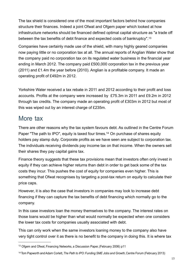The tax shield is considered one of the most important factors behind how companies structure their finances. Indeed a joint Ofwat and Ofgem paper which looked at how infrastructure networks should be financed defined optimal capital structure as "a trade off between the tax benefits of debt finance and expected costs of bankruptcy".13

Companies have certainly made use of the shield, with many highly geared companies now paying little or no corporation tax at all. The annual reports of Anglian Water show that the company paid no corporation tax on its regulated water business in the financial year ending in March 2012. The company paid £500,000 corporation tax in the previous year (2011) and £1.4m the year before (2010). Anglian is a profitable company. It made an operating profit of £492m in 2012.

Yorkshire Water received a tax rebate in 2011 and 2012 according to their profit and loss accounts. Profits at the company were increased by £75.3m in 2011 and £9.2m in 2012 through tax credits. The company made an operating profit of £303m in 2012 but most of this was wiped out by an interest charge of £235m.

#### More tax

There are other reasons why the tax system favours debt. As outlined in the Centre Forum Paper "The path to IPO", equity is taxed four times. <sup>14</sup> On purchase of shares equity holders pay stamp duty. Corporate profits as we have seen are subject to corporation tax. The individuals receiving dividends pay income tax on that income. When the owners sell their shares they pay capital gains tax.

Finance theory suggests that these tax provisions mean that investors often only invest in equity if they can achieve higher returns than debt in order to get back some of the tax costs they incur. This pushes the cost of equity for companies even higher. This is something that Ofwat recognises by targeting a post-tax return on equity to calculate their price caps.

However, it is also the case that investors in companies may look to increase debt financing if they can capture the tax benefits of debt financing which normally go to the company.

In this case investors loan the money themselves to the company. The interest rates on those loans would be higher than what would normally be expected when one considers the lower tax costs for companies usually associated with debt.

This can only work when the same investors loaning money to the company also have very tight control over it as there is no benefit to the company in doing this. It is where tax

<sup>13</sup> Ofgem and Ofwat, Financing Networks, a Discussion Paper, (February 2006) p11

<sup>14</sup> Tom Papworth andAdam Corlett,*The Path to IPO:Funding SME Jobs and Growth*, Centre Forum (February 2013)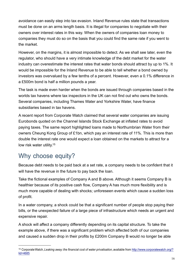avoidance can easily step into tax evasion. Inland Revenue rules state that transactions must be done on an arms length basis. It is illegal for companies to negotiate with their owners over interest rates in this way. When the owners of companies loan money to companies they must do so on the basis that you could find the same rate if you went to the market.

However, on the margins, it is almost impossible to detect. As we shall see later, even the regulator, who should have a very intimate knowledge of the debt market for the water industry can overestimate the interest rates that water bonds should attract by up to 1%. It would be impossible for the Inland Revenue to be able to tell whether a bond owned by investors was overvalued by a few tenths of a percent. However, even a 0.1% difference in a £500m bond is half a million pounds a year.

The task is made even harder when the bonds are issued through companies based in the worlds tax havens where tax inspectors in the UK can not find out who owns the bonds. Several companies, including Thames Water and Yorkshire Water, have finance subsidiaries based in tax havens.

A recent report from Corporate Watch claimed that several water companies are issuing Eurobonds quoted on the Channel Islands Stock Exchange at inflated rates to avoid paying taxes. The same report highlighted loans made to Northumbrian Water from their owners Cheung Kong Group of £1bn, which pay an interest rate of 11%. This is more than double the interest rate one would expect a loan obtained on the markets to attract for a low risk water utility.<sup>15</sup>

#### Why choose equity?

Because debt needs to be paid back at a set rate, a company needs to be confident that it will have the revenue in the future to pay back the loan.

Take the fictional examples of Company A and B above. Although it seems Company B is healthier because of its positive cash flow, Company A has much more flexibility and is much more capable of dealing with shocks; unforeseen events which cause a sudden loss of profit.

In a water company, a shock could be that a significant number of people stop paying their bills, or the unexpected failure of a large piece of infrastructure which needs an urgent and expensive repair.

A shock will affect a company differently depending on its capital structure. To take the example above, if there was a significant problem which affected both of our companies and caused a sudden drop in their profits by £200m Company B would no longer be able

<sup>15</sup> CorporateWatch, *Leaking away: the financial cost of water privatisation*, available from http://www.corporatewatch.org/? lid=4685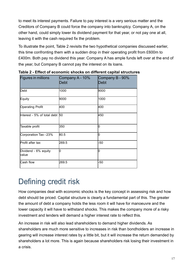to meet its interest payments. Failure to pay interest is a very serious matter and the Creditors of Company B could force the company into bankruptcy. Company A, on the other hand, could simply lower its dividend payment for that year, or not pay one at all, leaving it with the cash required fix the problem.

To illustrate the point, Table 2 revisits the two hypothetical companies discussed earlier, this time confronting them with a sudden drop in their operating profit from £600m to £400m. Both pay no dividend this year. Company A has ample funds left over at the end of the year, but Company B cannot pay the interest on its loans.

| <b>Figures in millions</b>     | Company A - 10%<br><b>Debt</b> | Company B - 90%<br><b>Debt</b> |
|--------------------------------|--------------------------------|--------------------------------|
| Debt                           | 1000                           | 9000                           |
| Equity                         | 9000                           | 1000                           |
| <b>Operating Profit</b>        | 400                            | 400                            |
| Interest - 5% of total debt 50 |                                | 450                            |
| Taxable profit                 | 350                            | Ю                              |
| Corporation Tax - 23%          | 80.5                           | Ю                              |
| Profit after tax               | 269.5                          | $-50$                          |
| Dividend - 6% equity<br>value  | 0                              | Ю                              |
| Cash flow                      | 269.5                          | $-50$                          |

**Table 2 - Effect of economic shocks on different capital structures**

## Defining credit risk

How companies deal with economic shocks is the key concept in assessing risk and how debt should be priced. Capital structure is clearly a fundamental part of this. The greater the amount of debt a company holds the less room it will have for manoeuvre and the lower capacity it will have to withstand shocks. This makes the company more of a risky investment and lenders will demand a higher interest rate to reflect this.

An increase in risk will also lead shareholders to demand higher dividends. As shareholders are much more sensitive to increases in risk than bondholders an increase in gearing will increase interest rates by a little bit, but it will increase the return demanded by shareholders a lot more. This is again because shareholders risk losing their investment in a crisis.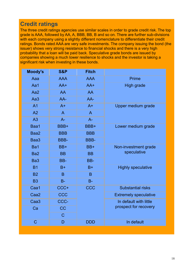#### **Credit ratings**

The three credit ratings agencies use similar scales in order to grade credit risk. The top grade is AAA, followed by AA, A, BBB, BB, B and so on. There are further sub-divisions with each company using a slightly different nomenclature to differentiate their credit ratings. Bonds rated AAA are very safe investments. The company issuing the bond (the issuer) shows very strong resistance to financial shocks and there is a very high probability that a loan will be paid back. Speculative grade bonds are issued by companies showing a much lower resilience to shocks and the investor is taking a significant risk when investing in these bonds.

| <b>AAA</b><br><b>AAA</b><br><b>Prime</b><br>Aaa<br>Aa1<br>$AA+$<br><b>High grade</b><br>$AA+$<br>Aa2<br><b>AA</b><br><b>AA</b><br>Aa <sub>3</sub><br>AA-<br>AA-<br><b>Upper medium grade</b><br>A <sub>1</sub><br>$A+$<br>$A+$<br>A <sub>2</sub><br>$\overline{A}$<br>$\mathsf{A}$<br>A3<br>$A -$<br>$A -$<br>Baa1<br>Lower medium grade<br>BBB+<br>BBB+<br>Baa2<br><b>BBB</b><br><b>BBB</b><br>Baa3<br><b>BBB-</b><br><b>BBB-</b><br>Ba1<br>Non-investment grade<br>BB+<br>BB+<br>speculative<br>Ba <sub>2</sub><br><b>BB</b><br><b>BB</b><br>Ba <sub>3</sub><br>BB-<br>BB-<br><b>B1</b><br>$B+$<br>$B+$<br><b>Highly speculative</b><br><b>B2</b><br>B.<br>B.<br><b>B3</b><br>$B -$<br>$B -$<br>Caa1<br>CCC+<br><b>CCC</b><br><b>Substantial risks</b><br>Caa <sub>2</sub><br>CCC<br><b>Extremely speculative</b><br>Caa <sub>3</sub><br>CCC-<br>In default with little<br>prospect for recovery<br><b>CC</b><br>Ca<br>$\mathbf C$<br>$\overline{C}$<br>In default<br><b>DDD</b><br>D | <b>Moody's</b> | <b>S&amp;P</b> | <b>Fitch</b> |  |
|-----------------------------------------------------------------------------------------------------------------------------------------------------------------------------------------------------------------------------------------------------------------------------------------------------------------------------------------------------------------------------------------------------------------------------------------------------------------------------------------------------------------------------------------------------------------------------------------------------------------------------------------------------------------------------------------------------------------------------------------------------------------------------------------------------------------------------------------------------------------------------------------------------------------------------------------------------------------------------------------|----------------|----------------|--------------|--|
|                                                                                                                                                                                                                                                                                                                                                                                                                                                                                                                                                                                                                                                                                                                                                                                                                                                                                                                                                                                         |                |                |              |  |
|                                                                                                                                                                                                                                                                                                                                                                                                                                                                                                                                                                                                                                                                                                                                                                                                                                                                                                                                                                                         |                |                |              |  |
|                                                                                                                                                                                                                                                                                                                                                                                                                                                                                                                                                                                                                                                                                                                                                                                                                                                                                                                                                                                         |                |                |              |  |
|                                                                                                                                                                                                                                                                                                                                                                                                                                                                                                                                                                                                                                                                                                                                                                                                                                                                                                                                                                                         |                |                |              |  |
|                                                                                                                                                                                                                                                                                                                                                                                                                                                                                                                                                                                                                                                                                                                                                                                                                                                                                                                                                                                         |                |                |              |  |
|                                                                                                                                                                                                                                                                                                                                                                                                                                                                                                                                                                                                                                                                                                                                                                                                                                                                                                                                                                                         |                |                |              |  |
|                                                                                                                                                                                                                                                                                                                                                                                                                                                                                                                                                                                                                                                                                                                                                                                                                                                                                                                                                                                         |                |                |              |  |
|                                                                                                                                                                                                                                                                                                                                                                                                                                                                                                                                                                                                                                                                                                                                                                                                                                                                                                                                                                                         |                |                |              |  |
|                                                                                                                                                                                                                                                                                                                                                                                                                                                                                                                                                                                                                                                                                                                                                                                                                                                                                                                                                                                         |                |                |              |  |
|                                                                                                                                                                                                                                                                                                                                                                                                                                                                                                                                                                                                                                                                                                                                                                                                                                                                                                                                                                                         |                |                |              |  |
|                                                                                                                                                                                                                                                                                                                                                                                                                                                                                                                                                                                                                                                                                                                                                                                                                                                                                                                                                                                         |                |                |              |  |
|                                                                                                                                                                                                                                                                                                                                                                                                                                                                                                                                                                                                                                                                                                                                                                                                                                                                                                                                                                                         |                |                |              |  |
|                                                                                                                                                                                                                                                                                                                                                                                                                                                                                                                                                                                                                                                                                                                                                                                                                                                                                                                                                                                         |                |                |              |  |
|                                                                                                                                                                                                                                                                                                                                                                                                                                                                                                                                                                                                                                                                                                                                                                                                                                                                                                                                                                                         |                |                |              |  |
|                                                                                                                                                                                                                                                                                                                                                                                                                                                                                                                                                                                                                                                                                                                                                                                                                                                                                                                                                                                         |                |                |              |  |
|                                                                                                                                                                                                                                                                                                                                                                                                                                                                                                                                                                                                                                                                                                                                                                                                                                                                                                                                                                                         |                |                |              |  |
|                                                                                                                                                                                                                                                                                                                                                                                                                                                                                                                                                                                                                                                                                                                                                                                                                                                                                                                                                                                         |                |                |              |  |
|                                                                                                                                                                                                                                                                                                                                                                                                                                                                                                                                                                                                                                                                                                                                                                                                                                                                                                                                                                                         |                |                |              |  |
|                                                                                                                                                                                                                                                                                                                                                                                                                                                                                                                                                                                                                                                                                                                                                                                                                                                                                                                                                                                         |                |                |              |  |
|                                                                                                                                                                                                                                                                                                                                                                                                                                                                                                                                                                                                                                                                                                                                                                                                                                                                                                                                                                                         |                |                |              |  |
|                                                                                                                                                                                                                                                                                                                                                                                                                                                                                                                                                                                                                                                                                                                                                                                                                                                                                                                                                                                         |                |                |              |  |
|                                                                                                                                                                                                                                                                                                                                                                                                                                                                                                                                                                                                                                                                                                                                                                                                                                                                                                                                                                                         |                |                |              |  |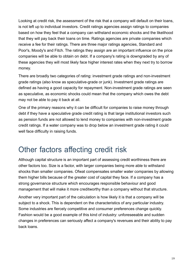Looking at credit risk, the assessment of the risk that a company will default on their loans, is not left up to individual investors. Credit ratings agencies assign ratings to companies based on how they feel that a company can withstand economic shocks and the likelihood that they will pay back their loans on time. Ratings agencies are private companies which receive a fee for their ratings. There are three major ratings agencies, Standard and Poor's, Moody's and Fitch. The ratings they assign are an important influence on the price companies will be able to obtain on debt. If a company's rating is downgraded by any of these agencies they will most likely face higher interest rates when they next try to borrow money.

There are broadly two categories of rating: investment grade ratings and non-investment grade ratings (also know as speculative-grade or junk). Investment grade ratings are defined as having a good capacity for repayment. Non-investment grade ratings are seen as speculative, as economic shocks could mean that the company which owes the debt may not be able to pay it back at all.

One of the primary reasons why it can be difficult for companies to raise money through debt if they have a speculative grade credit rating is that large institutional investors such as pension funds are not allowed to lend money to companies with non-investment grade credit ratings. If a water company was to drop below an investment grade rating it could well face difficulty in raising funds.

#### Other factors affecting credit risk

Although capital structure is an important part of assessing credit worthiness there are other factors too. Size is a factor, with larger companies being more able to withstand shocks than smaller companies. Ofwat compensates smaller water companies by allowing them higher bills because of the greater cost of capital they face. If a company has a strong governance structure which encourages responsible behaviour and good management that will make it more creditworthy than a company without that structure.

Another very important part of the calculation is how likely it is that a company will be subject to a shock. This is dependent on the characteristics of any particular industry. Some industries are fiercely competitive and consumer preferences change quickly. Fashion would be a good example of this kind of industry: unforeseeable and sudden changes in preferences can seriously affect a company's revenues and their ability to pay back loans.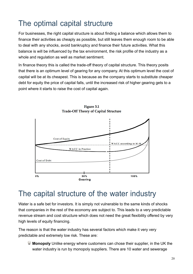### The optimal capital structure

For businesses, the right capital structure is about finding a balance which allows them to finance their activities as cheaply as possible, but still leaves them enough room to be able to deal with any shocks, avoid bankruptcy and finance their future activities. What this balance is will be influenced by the tax environment, the risk profile of the industry as a whole and regulation as well as market sentiment.

In finance theory this is called the trade-off theory of capital structure. This theory posits that there is an optimum level of gearing for any company. At this optimum level the cost of capital will be at its cheapest. This is because as the company starts to substitute cheaper debt for equity the price of capital falls, until the increased risk of higher gearing gets to a point where it starts to raise the cost of capital again.



Figure 3.1 **Trade-Off Theory of Capital Structure** 

#### The capital structure of the water industry

Water is a safe bet for investors. It is simply not vulnerable to the same kinds of shocks that companies in the rest of the economy are subject to. This leads to a very predictable revenue stream and cost structure which does not need the great flexibility offered by very high levels of equity financing.

The reason is that the water industry has several factors which make it very very predictable and extremely low risk. These are:

 **Monopoly** Unlike energy where customers can chose their supplier, in the UK the water industry is run by monopoly suppliers. There are 10 water and sewerage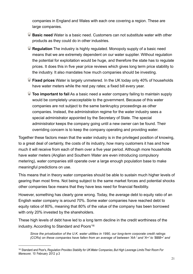companies in England and Wales with each one covering a region. These are large companies.

- **Basic need** Water is a basic need. Customers can not substitute water with other products as they could do in other industries.
- **Regulation** The industry is highly regulated. Monopoly supply of a basic need means that we are extremely dependent on our water supplier. Without regulation the potential for exploitation would be huge, and therefore the state has to regulate prices. It does this in five year price reviews which gives long term price stability to the industry. It also mandates how much companies should be investing.
- **Fixed prices** Water is largely unmetered. In the UK today only 40% of households have water meters while the rest pay rates; a fixed bill every year.
- **Too important to fail** As a basic need a water company failing to maintain supply would be completely unacceptable to the government. Because of this water companies are not subject to the same bankruptcy proceedings as other companies. Instead, the administration regime for the water industry sees a special administrator appointed by the Secretary of State. The special administrator keeps the company going until a new owner can be found. Their overriding concern is to keep the company operating and providing water.

Together these factors mean that the water industry is in the privileged position of knowing, to a great deal of certainty, the costs of its industry, how many customers it has and how much it will receive from each of them over a five year period. Although more households have water meters (Anglian and Southern Water are even introducing compulsory metering), water companies still operate over a large enough population base to make meaningful predictions on use.

This means that in theory water companies should be able to sustain much higher levels of gearing than most firms. Not being subject to the same market forces and potential shocks other companies face means that they have less need for financial flexibility.

However, something has clearly gone wrong. Today, the average debt to equity ratio of an English water company is around 70%. Some water companies have reached debt to equity ratios of 80%, meaning that 80% of the value of the company has been borrowed with only 20% invested by the shareholders.

These high levels of debt have led to a long term decline in the credit worthiness of the industry. According to Standard and Poors' 16

*Since the privatization of the U.K. water utilities in 1990, our long-term corporate credit ratings (CCRs) on these companies have fallen from an average of between 'AA-' and 'A+' to 'BBB+' and*

<sup>16</sup> Standard and Poor's, *Regulation Provides Stability for UKWater Companies,But High Leverage LimitsTheir Room For Maneuver,* 10 February 2012 p.3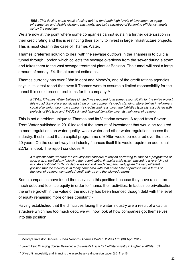*'BBB'. This decline is the result of rising debt to fund both high levels of investment in aging infrastructure and sizable dividend payments, against a backdrop of tightening efficiency targets set by the regulator.*

We are now at the point where some companies cannot sustain a further deterioration in their credit rating and this is restricting their ability to invest in large infrastructure projects. This is most clear in the case of Thames Water.

Thames' preferred solution to deal with the sewage outflows in the Thames is to build a tunnel through London which collects the sewage overflows from the sewer during a storm and takes them to the vast sewage treatment plant at Beckton. The tunnel will cost a large amount of money; £4.1bn at current estimates.

Thames currently has over £8bn in debt and Moody's, one of the credit ratings agencies, says in its latest report that even if Thames were to assume a limited responsibility for the tunnel this could present problems for the company:<sup>17</sup>

*If TWUL [Thames Water Utilities Limited] was required to assume responsibility for the entire project this would likely place significant strain on the company's credit standing. More limited involvement could also weigh upon the company's creditworthiness given the liabilities typically associated with projects of this type and TWUL's limited financial flexibility given its high level of gearing.*

This is not a problem unique to Thames and its Victorian sewers. A report from Severn Trent Water published in 2010 looked at the amount of investment that would be required to meet regulations on water quality, waste water and other water regulations across the industry. It estimated that a capital programme of £96bn would be required over the next 20 years. On the current way the industry finances itself this would require an additional £27bn in debt. The report concludes:<sup>18</sup>

*It is questionable whether the industry can continue to rely on borrowing to finance a programme of such a size, particularly following the recent global financial crisis which has led to a re-pricing of risk. An additional £27bn of debt does not look fundable particularly given the very different position that the industry is in today compared with that at the time of privatisation in terms of the level of gearing, companies' credit ratings and the allowed returns*

Some companies have found themselves in this position because they have raised too much debt and too little equity in order to finance their activities. In fact since privatisation the entire growth in the value of the industry has been financed though debt with the level of equity remaining more or less constant.<sup>19</sup>

Having established that the difficulties facing the water industry are a result of a capital structure which has too much debt, we will now look at how companies got themselves into this position.

<sup>17</sup> Moody's Investor Service, *Bond Report - Thames Water Utilities Ltd.* (30 April 2012)

<sup>18</sup> Severn Trent, Changing Course: *Delivering a Sustainable Future for the Water Industry in England and Wales*, p9

<sup>&</sup>lt;sup>19</sup> Ofwat, Financeability and financing the asset base - a discussion paper, (2011) p.18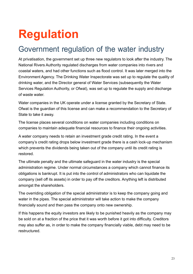# **Regulation**

#### Government regulation of the water industry

At privatisation, the government set up three new regulators to look after the industry. The National Rivers Authority regulated discharges from water companies into rivers and coastal waters, and had other functions such as flood control. It was later merged into the Environment Agency. The Drinking Water Inspectorate was set up to regulate the quality of drinking water, and the Director general of Water Services (subsequently the Water Services Regulation Authority, or Ofwat), was set up to regulate the supply and discharge of waste water.

Water companies in the UK operate under a license granted by the Secretary of State. Ofwat is the guardian of this license and can make a recommendation to the Secretary of State to take it away.

The license places several conditions on water companies including conditions on companies to maintain adequate financial resources to finance their ongoing activities.

A water company needs to retain an investment grade credit rating. In the event a company's credit rating drops below investment grade there is a cash lock-up mechanism which prevents the dividends being taken out of the company until its credit rating is restored.

The ultimate penalty and the ultimate safeguard in the water industry is the special administration regime. Under normal circumstances a company which cannot finance its obligations is bankrupt. It is put into the control of administrators who can liquidate the company (sell off its assets) in order to pay off the creditors. Anything left is distributed amongst the shareholders.

The overriding obligation of the special administrator is to keep the company going and water in the pipes. The special administrator will take action to make the company financially sound and then pass the company onto new ownership.

If this happens the equity investors are likely to be punished heavily as the company may be sold on at a fraction of the price that it was worth before it got into difficulty. Creditors may also suffer as, in order to make the company financially viable, debt may need to be restructured.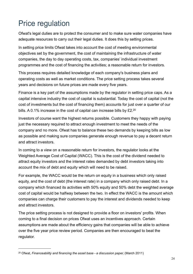### Price regulation

Ofwat's legal duties are to protect the consumer and to make sure water companies have adequate resources to carry out their legal duties. It does this by setting prices.

In setting price limits Ofwat takes into account the cost of meeting environmental objectives set by the government, the cost of maintaining the infrastructure of water companies, the day to day operating costs, tax, companies' individual investment programmes and the cost of financing the activities; a reasonable return for investors.

This process requires detailed knowledge of each company's business plans and operating costs as well as market conditions. The price setting process takes several years and decisions on future prices are made every five years.

Finance is a key part of the assumptions made by the regulator in setting price caps. As a capital intensive industry the cost of capital is substantial. Today the cost of capital (not the cost of investments but the cost of financing them) accounts for just over a quarter of our bills. A 0.1% increase in the cost of capital can increase bills by £2.<sup>20</sup>

Investors of course want the highest returns possible. Customers they happy with paying just the necessary required to attract enough investment to meet the needs of the company and no more. Ofwat has to balance these two demands by keeping bills as low as possible and making sure companies generate enough revenue to pay a decent return and attract investors.

In coming to a view on a reasonable return for investors, the regulator looks at the Weighted Average Cost of Capital (WACC). This is the cost of the dividend needed to attract equity investors and the interest rates demanded by debt investors taking into account the mix of debt and equity which will need to be raised.

For example, the WACC would be the return on equity in a business which only raised equity, and the cost of debt (the interest rate) in a company which only raised debt. In a company which financed its activities with 50% equity and 50% debt the weighted average cost of capital would be halfway between the two. In effect the WACC is the amount which companies can charge their customers to pay the interest and dividends needed to keep and attract investors.

The price setting process is not designed to provide a floor on investors' profits. When coming to a final decision on prices Ofwat uses an incentives approach. Certain assumptions are made about the efficiency gains that companies will be able to achieve over the five year price review period. Companies are then encouraged to beat the regulator.

<sup>20</sup> Ofwat, *Financeability and financing the asset base - a discussion paper,* (March 2011)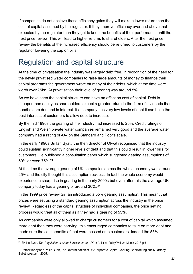If companies do not achieve these efficiency gains they will make a lower return than the cost of capital assumed by the regulator. If they improve efficiency over and above that expected by the regulator then they get to keep the benefits of their performance until the next price review. This will lead to higher returns to shareholders. After the next price review the benefits of the increased efficiency should be returned to customers by the regulator lowering the cap on bills.

#### Regulation and capital structure

At the time of privatisation the industry was largely debt free. In recognition of the need for the newly privatised water companies to raise large amounts of money to finance their capital programs the government wrote off many of their debts, which at the time were worth over £5bn. At privatisation their level of gearing was around 5%.

As we have seen the capital structure can have an effect on cost of capital. Debt is cheaper than equity as shareholders expect a greater return in the form of dividends than bondholders demand in interest. If a company has very low levels of debt it can be in the best interests of customers to allow debt to increase.

By the mid 1990s the gearing of the industry had increased to 25%. Credit ratings of English and Welsh private water companies remained very good and the average water company had a rating of AA- on the Standard and Poor's scale.

In the early 1990s Sir Ian Byatt, the then director of Ofwat recognised that the industry could sustain significantly higher levels of debt and that this could result in lower bills for customers. He published a consultation paper which suggested gearing assumptions of 50% or even 75%.21

At the time the average gearing of UK companies across the whole economy was around 25% and the city thought this assumption reckless. In fact the whole economy would experience a sharp rise in gearing in the early 2000s but even after this the average UK company today has a gearing of around 30%. 22

In the 1999 price review Sir Ian introduced a 55% gearing assumption. This meant that prices were set using a standard gearing assumption across the industry in the price review. Regardless of the capital structure of individual companies, the price setting process would treat all of them as if they had a gearing of 55%.

As companies were only allowed to charge customers for a cost of capital which assumed more debt than they were carrying, this encouraged companies to take on more debt and made sure the cost benefits of that were passed onto customers. Indeed the 55%

<sup>21</sup> Sir Ian Byatt, *The Regulation of Water Services in the UK*, in "Utilities Policy" Vol. 24 March 2013 p.6

<sup>&</sup>lt;sup>22</sup> Peter Bierley and Philip Bunn, The Determination of UK Corporate Capital Gearing, Bank of England Quarterly Bulletin,Autumn 2005.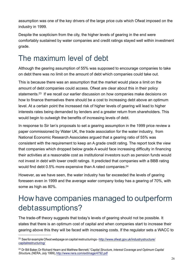assumption was one of the key drivers of the large price cuts which Ofwat imposed on the industry in 1999.

Despite the scepticism from the city, the higher levels of gearing in the end were comfortably sustained by water companies and credit ratings stayed well within investment grade.

### The maximum level of debt

Although the gearing assumption of 55% was supposed to encourage companies to take on debt there was no limit on the amount of debt which companies could take out.

This is because there was an assumption that the market would place a limit on the amount of debt companies could access. Ofwat are clear about this in their policy statements.23 If we recall our earlier discussion on how companies make decisions on how to finance themselves there should be a cost to increasing debt above an optimum level. At a certain point the increased risk of higher levels of gearing will lead to higher interests rates being demanded by lenders and a greater return from shareholders. This would begin to outweigh the benefits of increasing levels of debt.

In response to Sir Ian's proposals to set a gearing assumption in the 1999 price review a paper commissioned by Water UK, the trade association for the water industry, from National Economic Research Associates argued that a gearing ratio of 55% was consistent with the requirement to keep an A grade credit rating. The report took the view that companies which dropped below grade A would face increasing difficulty in financing their activities at a reasonable cost as institutional investors such as pension funds would not invest in debt with lower credit ratings. It predicted that companies with a BBB rating would find debt 0.5% more expensive than A rated companies.<sup>24</sup>

However, as we have seen, the water industry has far exceeded the levels of gearing foreseen even in 1999 and the average water company today has a gearing of 70%, with some as high as 80%.

### How have companies managed to outperform debtassumptions?

The trade-off theory suggests that today's levels of gearing should not be possible. It states that there is an optimum cost of capital and when companies start to increase their gearing above this they will be faced with increasing costs. If the regulator sets a WACC to

 $23$  See for example Ofwat webpage on capital restructurings - http://www.ofwat.gov.uk/industrystructure/ capitalrestructuring/

<sup>24</sup> Dr Bill Baker, Dr Richard Hearn and Matthew Bennett,"*Capital Structure, Interest Coverage and Optimum Capital Structure*,(NERA, July 1999), http://www.nera.com/extImage/4792.pdf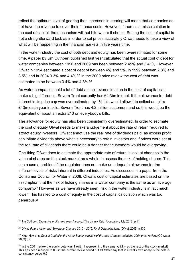reflect the optimum level of gearing then increases in gearing will mean that companies do not have the revenue to cover their finance costs. However, if there is a miscalculation in the cost of capital, the mechanism will not bite where it should. Setting the cost of capital is not a straightforward task as in order to set prices accurately Ofwat needs to take a view of what will be happening in the financial markets in five years time.

In the water industry the cost of both debt and equity has been overestimated for some time. A paper by Jim Cuthbert published last year calculated that the actual cost of debt for water companies between 1990 and 2009 has been between 2.45% and 3.41%. However Ofwat in 1994 estimated a cost of debt of between 4% and 5%, in 1999 between 2.8% and 3.5% and in 2004 3.3% and 4.4%. $25$  In the 2009 price review the cost of debt was estimated to be between 3.4% and 4.3%. 26

As water companies hold a lot of debt a small overestimation in the cost of capital can make a big difference. Severn Trent currently has £4.3bn in debt. If the allowance for debt interest in its price cap was overestimated by 1% this would allow it to collect an extra £43m each year in bills. Severn Trent has 4.2 million customers and so this would be the equivalent of about an extra £10 on everybody's bills.

The allowance for equity has also been consistently overestimated. In order to estimate the cost of equity Ofwat needs to make a judgement about the rate of return required to attract equity investors. Ofwat cannot use the real rate of dividends paid, as excess profit can inflate dividends above what is necessary to retain investors and if prices were set at the real rate of dividends there could be a danger that customers would be overpaying.

One thing Ofwat does to estimate the appropriate rate of return is look at changes in the value of shares on the stock market as a whole to assess the risk of holding shares. This can cause a problem if the regulator does not make an adequate allowance for the different levels of risks inherent in different industries. As discussed in a paper from the Consumer Council for Water in 2008, Ofwat's cost of capital estimates are based on the assumption that the risk of holding shares in a water company is the same as an average company.27 However as we have already seen, risk in the water industry is in fact much lower. This has led to a cost of equity in the cost of capital calculation which was too generous. 28

<sup>25</sup> Jim Cuthbert, *Excessive profits and overcharging,* (The Jimmy Reid Foundation, July 2012) p.11

<sup>26</sup> Ofwat, *Future Water and Sewerage Charges 2010 - 2015, Final Determinations,* (Ofwat, 2009) p.130

<sup>&</sup>lt;sup>27</sup> Nigel Hawkins, Cost of Capital in the Water Sector, a review of the cost of capital set at the 2004 price review, (CCWater, 2009) p5

 $28$  In the 2004 review the equity beta was 1 (with 1 representing the same volitility as the rest of the stock market) This has been reduced to 0.9 in the current review period but CCWater say that in Ofwat's own analysis the beta is consistantly below 0.5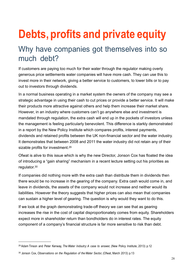# **Debts, profits and private equity**

#### Why have companies got themselves into so much debt?

If customers are paying too much for their water through the regulator making overly generous price settlements water companies will have more cash. They can use this to invest more in their network, giving a better service to customers, to lower bills or to pay out to investors through dividends.

In a normal business operating in a market system the owners of the company may see a strategic advantage in using their cash to cut prices or provide a better service. It will make their products more attractive against others and help them increase their market share. However, in an industry where customers can't go anywhere else and investment is mandated through regulation, the extra cash will end up in the pockets of investors unless the management is feeling particularly benevolent. This difference is starkly demonstrated in a report by the New Policy Institute which compares profits, interest payments, dividends and retained profits between the UK non-financial sector and the water industry. It demonstrates that between 2008 and 2011 the water industry did not retain any of their sizable profits for investment.<sup>29</sup>

Ofwat is alive to this issue which is why the new Director, Jonson Cox has floated the idea of introducing a "gain sharing" mechanism in a recent lecture setting out his priorities as regulator.30

If companies did nothing more with the extra cash than distribute them in dividends then there would be no increase in the gearing of the company. Extra cash would come in, and leave in dividends, the assets of the company would not increase and neither would its liabilities. However the theory suggests that higher prices can also mean that companies can sustain a higher level of gearing. The question is why would they want to do this.

If we look at the graph demonstrating trade-off theory we can see that as gearing increases the rise in the cost of capital disproportionately comes from equity. Shareholders expect more in shareholder return than bondholders do in interest rates. The equity component of a company's financial structure is far more sensitive to risk than debt.

<sup>29</sup> Adam Tinson and Peter Kenway, *The Water Indsutry:A case to answer,* (New Policy Institute, 2013) p.12

<sup>30</sup> Jonson Cox, *Observations on the Regulation of the Water Sector,* (Ofwat, March 2013) p.13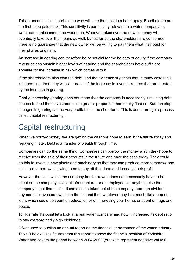This is because it is shareholders who will lose the most in a bankruptcy. Bondholders are the first to be paid back. This sensitivity is particularly relevant to a water company as water companies cannot be wound up. Whoever takes over the new company will eventually take over their loans as well, but as far as the shareholders are concerned there is no guarantee that the new owner will be willing to pay them what they paid for their shares originally.

An increase in gearing can therefore be beneficial for the holders of equity if the company revenues can sustain higher levels of gearing and the shareholders have sufficient appetite for the increase in risk which comes with it.

If the shareholders also own the debt, and the evidence suggests that in many cases this is happening, then they will capture all of the increase in investor returns that are created by the increase in gearing.

Finally, increasing gearing does not mean that the company is necessarily just using debt finance to fund their investments in a greater proportion than equity finance. Sudden step changes in gearing can be very profitable in the short term. This is done through a process called capital restructuring.

## Capital restructuring

When we borrow money, we are getting the cash we hope to earn in the future today and repaying it later. Debt is a transfer of wealth through time.

Companies can do the same thing. Companies can borrow the money which they hope to receive from the sale of their products in the future and have the cash today. They could do this to invest in new plants and machinery so that they can produce more tomorrow and sell more tomorrow, allowing them to pay off their loan and increase their profit.

However the cash which the company has borrowed does not necessarily have to be spent on the company's capital infrastructure, or on employees or anything else the company might find useful. It can also be taken out of the company thorough dividend payments to investors, who can then spend it on whatever they like, much like a personal loan, which could be spent on education or on improving your home, or spent on fags and booze.

To illustrate the point let's look at a real water company and how it increased its debt ratio to pay extraordinarily high dividends.

Ofwat used to publish an annual report on the financial performance of the water industry. Table 3 below uses figures from this report to show the financial position of Yorkshire Water and covers the period between 2004-2009 (brackets represent negative values).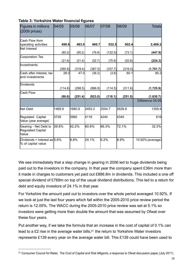| Figures in millions<br>$(2009)$ prices)                    | 04/05   | 05/06   | 06/07   | 07/08   | 08/09   | <b>Totals</b>    |
|------------------------------------------------------------|---------|---------|---------|---------|---------|------------------|
| Cash Flow from<br>operating activities                     | 490.6   | 483.0   | 460.7   | 532.5   | 502.4   | 2,469.2          |
| <b>Net Interest</b>                                        | (80.2)  | (95.2)  | (76.8)  | (122.5) | (73.1)  | (447.9)          |
| Corporation Tax                                            | (21.6)  | (21.4)  | (52.7)  | (75.9)  | (52.8)  | (224.3)          |
| Investments                                                | (360.8) | (319.4) | (367.5) | (337.7) | (316.4) | (1,701.7)        |
| Cash after interest, tax<br>and investments                | 28.0    | 47.0    | (36.3)  | (3.6)   | 60.1    | 95.2             |
| <b>Dividends</b>                                           | (114.6) | (298.5) | (886.8) | (114.5) | (311.6) | (1,725.9)        |
| Cash Flow                                                  | (86.6)  | (251.4) | (923.0) | (118.1) | (251.5) | (1,630.7)        |
|                                                            |         |         |         |         |         | Difference 05-09 |
| <b>Net Debt</b>                                            | 1469.9  | 1680.9  | 2493.2  | 2554.7  | 2829.8  | 1359.9           |
| Regulated Capital<br>Value (year average)                  | 3729    | 3960    | 4116    | 4240    | 4345    | 616              |
| Gearing - Net Debt to<br><b>Regulated Capital</b><br>Value | 39.8%   | 42.2%   | 60.6%   | 66.3%   | 72.1%   | 32.3%            |
| Dividends + Interest as 5.6%<br>% of capital value         |         | 9.8%    | 24.1%   | 6.2%    | 8.9%    | 10.92% (average) |

#### **Table 3: Yorkshire Water financial figures**

We see immediately that a step change in gearing in 2006 led to huge dividends being paid out to the investors in the company. In that year the company spent £36m more than it made in charges to customers yet paid out £886.8m in dividends. This included a one off special dividend of £769m on top of the usual dividend distributions. This led to a return for debt and equity investors of 24.1% in that year.

For Yorkshire the amount paid out to investors over the whole period averaged 10.92%. If we look at just the last four years which fall within the 2005-2010 price review period the return is 12.05%. The WACC during the 2005-2010 price review was set at 5.1% so investors were getting more than double the amount that was assumed by Ofwat over these four years.

Put another way, if we take the formula that an increase in the cost of capital of 0.1% can lead to a £2 rise in the average water bills,<sup>31</sup> the return to Yorkshire Water investors represents £139 every year on the average water bill. This £139 could have been used to

<sup>31</sup> Consumer Council forWater, *The Cost of Capital and Risk Mitgants, a* response to Ofwat discussion paper, (July 2011)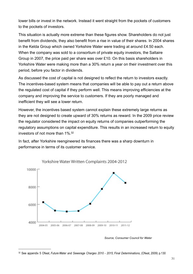lower bills or invest in the network. Instead it went straight from the pockets of customers to the pockets of investors.

This situation is actually more extreme than these figures show. Shareholders do not just benefit from dividends, they also benefit from a rise in value of their shares. In 2004 shares in the Kelda Group which owned Yorkshire Water were trading at around £4.50 each. When the company was sold to a consortium of private equity investors, the Saltaire Group in 2007, the price paid per share was over £10. On this basis shareholders in Yorkshire Water were making more than a 30% return a year on their investment over this period, before you factor in dividends.

As discussed the cost of capital is not designed to reflect the return to investors exactly. The incentives-based system means that companies will be able to pay out a return above the regulated cost of capital if they perform well. This means improving efficiencies at the company and improving the service to customers. If they are poorly managed and inefficient they will see a lower return.

However, the incentives based system cannot explain these extremely large returns as they are not designed to create upward of 30% returns as reward. In the 2009 price review the regulator considered the impact on equity returns of companies outperforming the regulatory assumptions on capital expenditure. This results in an increased return to equity investors of not more than 1%. 32

In fact, after Yorkshire reengineered its finances there was a sharp downturn in performance in terms of its customer service.



*Source, Consumer Council for Water*

<sup>32</sup> See appendix 5 Ofwat, *Future Water and Sewerage Charges 2010 - 2015, Final Determinations,* (Ofwat, 2009) p.130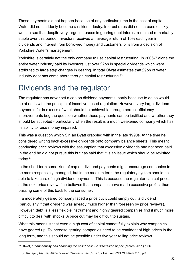These payments did not happen because of any particular jump in the cost of capital. Water did not suddenly become a riskier industry. Interest rates did not increase quickly; we can see that despite very large increases in gearing debt interest remained remarkably stable over this period. Investors received an average return of 10% each year in dividends and interest from borrowed money and customers' bills from a decision of Yorkshire Water's management.

Yorkshire is certainly not the only company to use capital restructuring. In 2006-7 alone the entire water industry paid its investors just over £2bn in special dividends which were attributed to large step changes in gearing. In total Ofwat estimates that £9bn of water industry debt has come about through capital restructuring.33

### Dividends and the regulator

The regulator has never set a cap on dividend payments, partly because to do so would be at odds with the principle of incentive based regulation. However, very large dividend payments far in excess of what should be achievable through normal efficiency improvements beg the question whether these payments can be justified and whether they should be accepted - particularly when the result is a much weakened company which has its ability to raise money impaired.

This was a question which Sir Ian Byatt grappled with in the late 1990s. At the time he considered writing back excessive dividends onto company balance sheets. This meant conducting price reviews with the assumption that excessive dividends had not been paid. In the end he did not pursue this but has said that it is an issue which should be revisited today. 34

In the short term some kind of cap on dividend payments might encourage companies to be more responsibly managed, but in the medium term the regulatory system should be able to take care of high dividend payments. This is because the regulator can cut prices at the next price review if he believes that companies have made excessive profits, thus passing some of this back to the consumer.

If a moderately geared company faced a price cut it could simply cut its dividend (particularly if that dividend was already much higher than foreseen by price reviews). However, debt is a less flexible instrument and highly geared companies find it much more difficult to deal with shocks. A price cut may be difficult to sustain.

What this means is that even a high cost of capital cannot fully explain why companies have geared up. To increase gearing companies need to be confident of high prices in the long term, and this should not be possible under five year rolling price reviews.

<sup>33</sup> Ofwat, *Financeability and financing the asset base - a discussion paper,* (March 2011) p.36

<sup>34</sup> Sir Ian Byatt, *The Regulation of Water Services in the UK*, in "Utilities Policy" Vol. 24 March 2013 p.8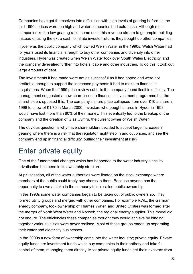Companies have got themselves into difficulties with high levels of gearing before. In the mid 1990s prices were too high and water companies had extra cash. Although most companies kept a low gearing ratio, some used this revenue stream to go empire building. Instead of using the extra cash to inflate investor returns they bought up other companies.

Hyder was the public company which owned Welsh Water in the 1990s. Welsh Water had for years used its financial strength to buy other companies and diversify into other industries. Hyder was created when Welsh Water took over South Wales Electricity, and the company diversified further into hotels, cable and other industries. To do this it took out large amounts of debt.

The investments it had made were not as successful as it had hoped and were not profitable enough to support the increased payments it had to make to finance its acquisitions. When the 1999 price review cut bills the company found itself in difficulty. The management suggested a new share issue to finance its investment programme but the shareholders opposed this. The company's share price collapsed from over £10 a share in 1998 to a low of £1.79 in March 2000. Investors who bought shares in Hyder in 1998 would have lost more than 80% of their money. This eventually led to the breakup of the company and the creation of Glas Cymru, the current owner of Welsh Water.

The obvious question is why have shareholders decided to accept large increases in gearing where there is a risk that the regulator might step in and cut prices, and see the company end up in financial difficulty, putting their investment at risk?

### Enter private equity

One of the fundamental changes which has happened to the water industry since its privatisation has been in its ownership structure.

At privatisation, all of the water authorities were floated on the stock exchange where members of the public could freely buy shares in them. Because anyone has the opportunity to own a stake in the company this is called public ownership.

In the 1990s some water companies began to be taken out of public ownership. They formed utility groups and merged with other companies. For example RWE, the German energy company, took ownership of Thames Water, and United Utilities was formed after the merger of North West Water and Norweb, the regional energy supplier. This model did not endure. The efficiencies these companies thought they would achieve by binding together various utilities were never realised. Most of these groups ended up separating their water and electricity businesses.

In the 2000s a new form of ownership came into the water industry; private equity. Private equity funds are investment funds which buy companies in their entirety and take full control of them, managing them directly. Most private equity funds get their investors from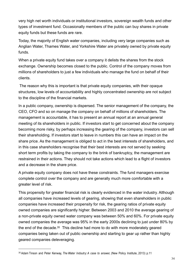very high net worth individuals or institutional investors, sovereign wealth funds and other types of investment fund. Occasionally members of the public can buy shares in private equity funds but these funds are rare.

Today, the majority of English water companies, including very large companies such as Anglian Water, Thames Water, and Yorkshire Water are privately owned by private equity funds.

When a private equity fund takes over a company it delists the shares from the stock exchange. Ownership becomes closed to the public. Control of the company moves from millions of shareholders to just a few individuals who manage the fund on behalf of their clients.

The reason why this is important is that private equity companies, with their opaque structures, low levels of accountability and highly concentrated ownership are not subject to the discipline of the financial markets.

In a public company, ownership is dispersed. The senior management of the company, the CEO, CFO and so on manage the company on behalf of millions of shareholders. The management is accountable, it has to present an annual report at an annual general meeting of its shareholders in public. If investors start to get concerned about the company becoming more risky, by perhaps increasing the gearing of the company, investors can sell their shareholding. If investors start to leave in numbers this can have an impact on the share price. As the management is obliged to act in the best interests of shareholders, and in this case shareholders recognise that their best interests are not served by seeking short term profits by taking the company to the brink of bankruptcy, the management are restrained in their actions. They should not take actions which lead to a flight of investors and a decrease in the share price.

A private equity company does not have these constraints. The fund managers exercise complete control over the company and are generally much more comfortable with a greater level of risk.

This propensity for greater financial risk is clearly evidenced in the water industry. Although all companies have increased levels of gearing, showing that even shareholders in public companies have increased their propensity for risk, the gearing ratios of private equity owned companies are significantly higher. Between 2003 and 2010 the average gearing of a non-private equity owned water company was between 50% and 60%. For private equity owned companies the average was 95% in the early 2000s declining to just under 80% by the end of the decade.<sup>35</sup> This decline had more to do with more moderately geared companies being taken out of public ownership and starting to gear up rather than highly geared companies deleveraging.

<sup>35</sup> Adam Tinson and Peter Kenway, *The Water Indsutry:A case to answer,* (New Policy Institute, 2013) p.11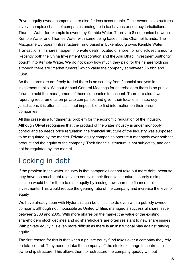Private equity owned companies are also far less accountable. Their ownership structures involve complex chains of companies ending up in tax havens or secrecy jurisdictions. Thames Water for example is owned by Kemble Water. There are 8 companies between Kemble Water and Thames Water with some being based in the Channel Islands. The Macquarie European Infrastructure Fund based in Luxembourg owns Kemble Water. Transactions in shares happen in private deals, located offshore, for undisclosed amounts. Recently both the China Investment Corporation and the Abu Dhabi Investment Authority bought into Kemble Water. We do not know how much they paid for their shareholdings although there are "market rumors" which value the company at between £5.8bn and £8bn.

As the shares are not freely traded there is no scrutiny from financial analysts in investment banks. Without Annual General Meetings for shareholders there is no public forum to hold the management of these companies to account. There are also fewer reporting requirements on private companies and given their locations in secrecy jurisdictions it is often difficult if not impossible to find information on their parent companies.

All this presents a fundamental problem for the economic regulation of the industry. Although Ofwat recognises that the product of the water industry is under monopoly control and so needs price regulation, the financial structure of the industry was supposed to be regulated by the market. Private equity companies operate a monopoly over both the product and the equity of the company. Their financial structure is not subject to, and can not be regulated by, the market.

### Locking in debt

If the problem in the water industry is that companies cannot take out more debt, because they have too much debt relative to equity in their financial structures, surely a simple solution would be for them to raise equity by issuing new shares to finance their investments. This would reduce the gearing ratio of the company and increase the level of equity.

We have already seen with Hyder this can be difficult to do even with a publicly owned company, although not impossible as United Utilities managed a successful share issue between 2003 and 2005. With more shares on the market the value of the existing shareholders stock declines and so shareholders are often resistant to new share issues. With private equity it is even more difficult as there is an institutional bias against raising equity.

The first reason for this is that when a private equity fund takes over a company they rely on total control. They need to take the company off the stock exchange to control the ownership structure. This allows them to restructure the company quickly without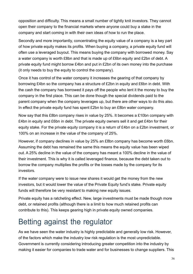opposition and difficulty. This means a small number of tightly knit investors. They cannot open their company to the financial markets where anyone could buy a stake in the company and start coming in with their own ideas of how to run the place.

Secondly and more importantly, concentrating the equity value of a company is a key part of how private equity makes its profits. When buying a company, a private equity fund will often use a leveraged buyout. This means buying the company with borrowed money. Say a water company is worth £8bn and that is made up of £6bn equity and £2bn of debt. A private equity fund might borrow £4bn and put in £2bn of its own money into the purchase (it only needs to buy the equity to control the company).

Once it has control of the water company it increases the gearing of that company by borrowing £4bn so the company has a structure of £2bn in equity and £6bn in debt. With the cash the company has borrowed it pays off the people who lent it the money to buy the company in the first place. This can be done though the special dividends paid to the parent company when the company leverages up, but there are other ways to do this also. In effect the private equity fund has spent £2bn to buy an £8bn water company.

Now say that this £8bn company rises in value by 25%. It becomes a £10bn company with £4bn in equity and £6bn in debt. The private equity owners sell it and get £4bn for their equity stake. For the private equity company it is a return of £4bn on a £2bn investment, or 100% on an increase in the value of the company of 25%.

However, if company declines in value by 25% an £8bn company has become worth £6bn. Assuming the debt has remained the same this means the equity value has been wiped out. A 25% decline in the value of the company has meant a 100% decline in the value of their investment. This is why it is called leveraged finance, because the debt taken out to borrow the company multiplies the profits or the losses made by the company for its investors.

If the water company were to issue new shares it would get the money from the new investors, but it would lower the value of the Private Equity fund's stake. Private equity funds will therefore be very resistant to making new equity issues.

Private equity has a ratcheting effect. New, large investments must be made though more debt, or retained profits (although there is a limit to how much retained profits can contribute to this). This keeps gearing high in private equity owned companies.

#### Betting against the regulator

As we have seen the water industry is highly predictable and generally low risk. However, of the factors which make the industry low risk regulation is the most unpredictable. Government is currently considering introducing greater competition into the industry by making it easier for companies to trade water and for businesses to change suppliers. This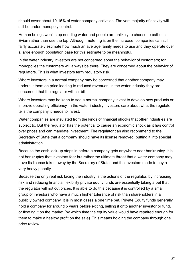should cover about 10-15% of water company activities. The vast majority of activity will still be under monopoly control.

Human beings won't stop needing water and people are unlikely to choose to bathe in Evian rather than use the tap. Although metering is on the increase, companies can still fairly accurately estimate how much an average family needs to use and they operate over a large enough population base for this estimate to be meaningful.

In the water industry investors are not concerned about the behavior of customers; for monopolies the customers will always be there. They are concerned about the behavior of regulators. This is what investors term regulatory risk.

Where investors in a normal company may be concerned that another company may undercut them on price leading to reduced revenues, in the water industry they are concerned that the regulator will cut bills.

Where investors may be keen to see a normal company invest to develop new products or improve operating efficiency, in the water industry investors care about what the regulator tells the company it needs to invest.

Water companies are insulated from the kinds of financial shocks that other industries are subject to. But the regulator has the potential to cause an economic shock as it has control over prices and can mandate investment. The regulator can also recommend to the Secretary of State that a company should have its license removed, putting it into special administration.

Because the cash lock-up steps in before a company gets anywhere near bankruptcy, it is not bankruptcy that investors fear but rather the ultimate threat that a water company may have its license taken away by the Secretary of State, and the investors made to pay a very heavy penalty.

Because the only real risk facing the industry is the actions of the regulator, by increasing risk and reducing financial flexibility private equity funds are essentially taking a bet that the regulator will not cut prices. It is able to do this because it is controlled by a small group of investors who have a much higher tolerance of risk than shareholders in a publicly owned company. It is in most cases a one time bet. Private Equity funds generally hold a company for around 5 years before exiting, selling it onto another investor or fund, or floating it on the market (by which time the equity value would have repaired enough for them to make a healthy profit on the sale). This means holding the company through one price review.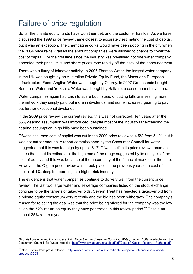## Failure of price regulation

So far the private equity funds have won their bet, and the customer has lost. As we have discussed the 1999 price review came closest to accurately estimating the cost of capital, but it was an exception. The champagne corks would have been popping in the city when the 2004 price review raised the amount companies were allowed to charge to cover the cost of capital. For the first time since the industry was privatised not one water company appealed their price limits and share prices rose rapidly off the back of the announcement.

There was a flurry of takeover activity. In 2006 Thames Water, the largest water company in the UK was bought by an Australian Private Equity Fund, the Macquarie European Infrastructure Fund. Anglian Water was bought by Osprey. In 2007 Greensands bought Southern Water and Yorkshire Water was bought by Saltaire, a consortium of investors.

Water companies again had cash to spare but instead of cutting bills or investing more in the network they simply paid out more in dividends, and some increased gearing to pay out further exceptional dividends.

In the 2009 price review, the current review, this was not corrected. Ten years after the 55% gearing assumption was introduced, despite most of the industry far exceeding the gearing assumption, high bills have been sustained.

Ofwat's assumed cost of capital was cut in the 2009 price review to 4.5% from 5.1%, but it was not cut far enough. A report commissioned by the Consumer Council for water suggested that this was too high by up to 1%.<sup>36</sup> Ofwat itself in its price review document states that it put its estimate at the high end of the range suggested by its analysis of the cost of equity and this was because of the uncertainty of the financial markets at the time. However, the Ofgem price review which took place in the previous year set a cost of capital of 4%, despite operating in a higher risk industry.

The evidence is that water companies continue to do very well from the current price review. The last two large water and sewerage companies listed on the stock exchange continue to be the targets of takeover bids. Severn Trent has rejected a takeover bid from a private equity consortium very recently and the bid has been withdrawn. The company's reason for rejecting the deal was that the price being offered for the company was too low given the 72% return on equity they have generated in this review period. <sup>37</sup> That is an almost 25% return a year.

<sup>36</sup> Chris Apostolou and Andrew Clare, *Third Report for the Consumer Council forWater,* (Fathom 2009) available from the Consumer Council for Water website http://www.ccwater.org.uk/upload/pdf/Cost\_of\_Capital\_Report\_-\_Fathom.pdf

<sup>37</sup> See Severn Trent press release - http://www.severntrent.com/severn-trent-plc-rejection-of-longrivers-revisedproposal/3793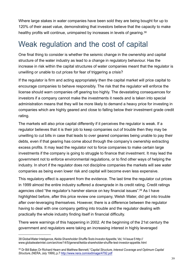Where large stakes in water companies have been sold they are being bought for up to 120% of their asset value, demonstrating that investors believe that the capacity to make healthy profits will continue, unimpaired by increases in levels of gearing.<sup>38</sup>

#### Weak regulation and the cost of capital

One final thing to consider is whether the seismic change in the ownership and capital structure of the water industry as lead to a change in regulatory behaviour. Has the increase in risk within the capital structures of water companies meant that the regulator is unwilling or unable to cut prices for fear of triggering a crisis?

If the regulator is firm and acting appropriately then the capital market will price capital to encourage companies to behave responsibly. The risk that the regulator will enforce the license should warn companies off gearing too highly. The devastating consequences for investors if a company cannot make the investments it needs and is taken into special administration means that they will be more likely to demand a heavy price for investing in companies which are highly geared and close to falling below their investment grade credit rating.

The markets will also price capital differently if it perceives the regulator is weak. If a regulator believes that it is their job to keep companies out of trouble then they may be unwilling to cut bills in case that leads to over geared companies being unable to pay their debts, even if that gearing has come about through the company's ownership extracting excess profits. It may lead the regulator not to force companies to make certain large investments if the company is going to struggle to finance that investment. It may lead the government not to enforce environmental regulations, or to find other ways of helping the industry. In short if the regulator does not discipline companies the markets will see water companies as being even lower risk and capital will become even less expensive.

This regulatory effect is apparent from the evidence. The last time the regulator cut prices in 1999 almost the entire industry suffered a downgrade in its credit rating. Credit ratings agencies cited "the regulator's harsher stance on key financial issues". <sup>39</sup> As I have highlighted before, after this price review one company, Welsh Water, did get into trouble after over-leveraging themselves. However, there is a difference between the regulator having to deal with one company getting into trouble and the regulator dealing with practically the whole industry finding itself in financial difficulty.

There were warnings of this happening in 2002. At the beginning of the 21st century the government and regulators were taking an increasing interest in highly leveraged

<sup>38</sup> GlobalWater Inteligence,*Kelda Shareholder ShuffleTests InvestorAppetite,*Vol,14 Issue 5 http:// www.globalwaterintel.com/archive/14/5/general/kelda-shareholder-shuffle-test-investor-appetite.html

*Structure*,(NERA, July 1999), p.7 http://www.nera.com/extImage/4792.pdf <sup>39</sup> Dr Bill Baker, Dr Richard Hearn and Matthew Bennett,"*Capital Structure, Interest Coverage and Optimum Capital*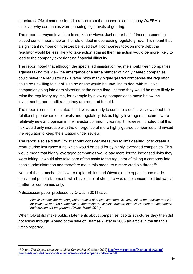structures. Ofwat commissioned a report from the economic consultancy OXERA to discover why companies were pursuing high levels of gearing.

The report surveyed investors to seek their views. Just under half of those responding placed some importance on the role of debt in decreasing regulatory risk. This meant that a significant number of investors believed that if companies took on more debt the regulator would be less likely to take action against them as action would be more likely to lead to the company experiencing financial difficulty.

The report noted that although the special administration regime should warn companies against taking this view the emergence of a large number of highly geared companies could make the regulator risk averse. With many highly geared companies the regulator could be unwilling to cut bills as he or she would be unwilling to deal with multiple companies going into administration at the same time. Instead they would be more likely to relax the regulatory regime, for example by allowing companies to move below the investment grade credit rating they are required to hold.

The report's conclusion stated that it was too early to come to a definitive view about the relationship between debt levels and regulatory risk as highly leveraged structures were relatively new and opinion in the investor community was split. However, it noted that this risk would only increase with the emergence of more highly geared companies and invited the regulator to keep the situation under review.

The report also said that Ofwat should consider measures to limit gearing, or to create a restructuring insurance fund which would be paid for by highly leveraged companies. This would mean that highly leveraged companies would pay more for the increased risks they were taking. It would also take care of the costs to the regulator of taking a company into special administration and therefore make this measure a more credible threat.<sup>40</sup>

None of these mechanisms were explored. Instead Ofwat did the opposite and made consistent public statements which said capital structure was of no concern to it but was a matter for companies only.

A discussion paper produced by Ofwat in 2011 says:

*Finally we consider the companies' choice of capital structure. We have taken the position that it is for investors and the companies to determine the capital structure that allows them to best finance their investment programme (Ofwat, March 2011)*

When Ofwat did make public statements about companies' capital structures they then did not follow through. Ahead of the sale of Thames Water in 2006 an article in the financial times reported:

<sup>40</sup> Oxera, *The Capital Structure of Water Companies,* (October 2002) http://www.oxera.com/Oxera/media/Oxera/ downloads/reports/Ofwat-capital-structure-of-Water-Companies.pdf?ext=.pdf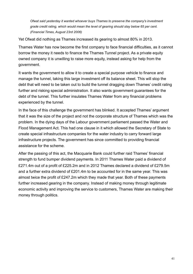*Ofwat said yesterday it wanted whoever buys Thames to preserve the company's investment grade credit rating, which would mean the level of gearing should stay below 65 per cent. (Financial Times, August 23rd 2006)*

Yet Ofwat did nothing as Thames increased its gearing to almost 80% in 2013.

Thames Water has now become the first company to face financial difficulties, as it cannot borrow the money it needs to finance the Thames Tunnel project. As a private equity owned company it is unwilling to raise more equity, instead asking for help from the government.

It wants the government to allow it to create a special purpose vehicle to finance and manage the tunnel, taking this large investment off its balance sheet. This will stop the debt that will need to be taken out to build the tunnel dragging down Thames' credit rating further and risking special administration. It also wants government guarantees for the debt of the tunnel. This further insulates Thames Water from any financial problems experienced by the tunnel.

In the face of this challenge the government has blinked. It accepted Thames' argument that it was the size of the project and not the corporate structure of Thames which was the problem. In the dying days of the Labour government parliament passed the Water and Flood Management Act. This had one clause in it which allowed the Secretary of State to create special infrastructure companies for the water industry to carry forward large infrastructure projects. The government has since committed to providing financial assistance for the scheme.

After the passing of this act, the Macquarie Bank could further raid Thames' financial strength to fund bumper dividend payments. In 2011 Thames Water paid a dividend of £271.4m out of a profit of £225.2m and in 2012 Thames declared a dividend of £279.5m and a further extra dividend of £201.4m to be accounted for in the same year. This was almost twice the profit of £247.2m which they made that year. Both of these payments further increased gearing in the company. Instead of making money through legitimate economic activity and improving the service to customers, Thames Water are making their money through politics.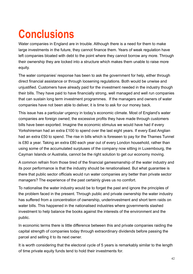# **Conclusions**

Water companies in England are in trouble. Although there is a need for them to make large investments in the future, they cannot finance them. Years of weak regulation have left companies bloated with debt to the point where they cannot borrow any more. Through their ownership they are locked into a structure which makes them unable to raise more equity.

The water companies' response has been to ask the government for help, either through direct financial assistance or through loosening regulations. Both would be unwise and unjustified. Customers have already paid for the investment needed in the industry though their bills. They have paid to have financially strong, well managed and well run companies that can sustain long term investment programmes. If the managers and owners of water companies have not been able to deliver, it is time to ask for our money back.

This issue has a particular urgency in today's economic climate. Most of England's water companies are foreign owned; the excessive profits they have made through customers bills have been exported. Imagine the economic stimulus we would have had if every Yorkshireman had an extra £100 to spend over the last eight years. If every East Anglian had an extra £50 to spend. The rise in bills which is foreseen to pay for the Thames Tunnel is £80 a year. Taking an extra £80 each year out of every London household, rather than using some of the accumulated surpluses of the company now sitting in Luxembourg, the Cayman Islands or Australia, cannot be the right solution to get our economy moving.

A common refrain from those tired of the financial gamesmanship of the water industry and its poor performance is that the industry should be renationalised. But what guarantee is there that public sector officials would run water companies any better than private sector managers? The experience of the past certainly gives us no comfort.

To nationalise the water industry would be to forget the past and ignore the principles of the problem faced in the present. Through public and private ownership the water industry has suffered from a concentration of ownership, underinvestment and short term raids on water bills. This happened in the nationalised industries where governments slashed investment to help balance the books against the interests of the environment and the public.

In economic terms there is little difference between this and private companies raiding the capital strength of companies today through extraordinary dividends before passing the parcel and selling it to its next owner.

It is worth considering that the electoral cycle of 5 years is remarkably similar to the length of time private equity funds tend to hold their investments for.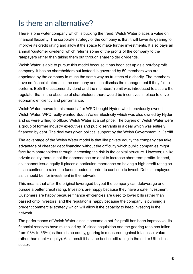#### Is there an alternative?

There is one water company which is bucking the trend. Welsh Water places a value on financial flexibility. The corporate strategy of the company is that it will lower its gearing to improve its credit rating and allow it the space to make further investments. It also pays an annual 'customer dividend' which returns some of the profits of the company to the ratepayers rather than taking them out through shareholder dividends.

Welsh Water is able to pursue this model because it has been set up as a not-for-profit company. It has no shareholders but instead is governed by 59 members who are appointed by the company in much the same way as trustees of a charity. The members have no financial interest in the company and can dismiss the management if they fail to perform. Both the customer dividend and the members' remit was introduced to assure the regulator that in the absence of shareholders there would be incentives in place to drive economic efficiency and performance.

Welsh Water moved to this model after WPD bought Hyder, which previously owned Welsh Water. WPD really wanted South Wales Electricity which was also owned by Hyder and so were willing to offload Welsh Water at a cut price. The buyers of Welsh Water were a group of former industry executives and public servants in a deal which was entirely financed by debt. The deal was given political support by the Welsh Government in Cardiff.

The advantage of the Welsh Water model is that like private equity the company can take advantage of cheaper debt financing without the difficulty which public companies might face from shareholders through increasing the risk in the capital structure. However, unlike private equity there is not the dependence on debt to increase short term profits. Indeed, as it cannot issue equity it places a particular importance on having a high credit rating so it can continue to raise the funds needed in order to continue to invest. Debt is employed as it should be, for investment in the network.

This means that after the original leveraged buyout the company can deleverage and pursue a better credit rating. Investors are happy because they have a safe investment. Customers are happy because finance efficiencies are used to lower bills rather than passed onto investors, and the regulator is happy because the company is pursuing a prudent commercial strategy which will allow it the capacity to keep investing in the network.

The performance of Welsh Water since it became a not-for-profit has been impressive. Its financial reserves have multiplied by 10 since acquisition and the gearing ratio has fallen from 93% to 65% (as there is no equity, gearing is measured against total asset value rather than debt + equity). As a result it has the best credit rating in the entire UK utilities sector.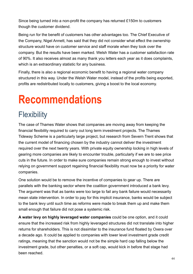Since being turned into a non-profit the company has returned £150m to customers though the customer dividend.

Being run for the benefit of customers has other advantages too. The Chief Executive of the Company, Nigel Annett, has said that they did not consider what effect the ownership structure would have on customer service and staff morale when they took over the company. But the results have been marked. Welsh Water has a customer satisfaction rate of 90%. It also receives almost as many thank you letters each year as it does complaints, which is an extraordinary statistic for any business.

Finally, there is also a regional economic benefit to having a regional water company structured in this way. Under the Welsh Water model, instead of the profits being exported, profits are redistributed locally to customers, giving a boost to the local economy.

## **Recommendations**

## **Flexibility**

The case of Thames Water shows that companies are moving away from keeping the financial flexibility required to carry out long term investment projects. The Thames Tideway Scheme is a particularly large project, but research from Severn Trent shows that the current model of financing chosen by the industry cannot deliver the investment required over the next twenty years. With private equity ownership locking in high levels of gearing more companies are likely to encounter trouble, particularly if we are to see price cuts in the future. In order to make sure companies remain strong enough to invest without relying on government support regaining financial flexibility must now be a priority for water companies.

One solution would be to remove the incentive of companies to gear up. There are parallels with the banking sector where the coalition government introduced a bank levy. The argument was that as banks were too large to fail any bank failure would necessarily mean state intervention. In order to pay for this implicit insurance, banks would be subject to the bank levy until such time as reforms were made to break them up and make them small enough that failure did not pose a systemic risk.

**A water levy on highly leveraged water companies** could be one option, and it could ensure that the increased risk from highly leveraged structures did not translate into higher returns for shareholders. This is not dissimilar to the insurance fund floated by Oxera over a decade ago. It could be applied to companies with lower level investment grade credit ratings, meaning that the sanction would not be the simple hard cap falling below the investment grade, but other penalties, or a soft cap, would kick in before that stage had been reached.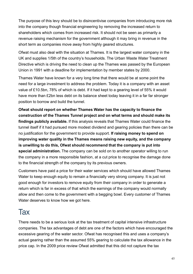The purpose of this levy should be to disincentivise companies from introducing more risk into the company though financial engineering by removing the increased return to shareholders which comes from increased risk. It should not be seen as primarily a revenue raising mechanism for the government although it may bring in revenue in the short term as companies move away from highly geared structures.

Ofwat must also deal with the situation at Thames. It is the largest water company in the UK and supplies 1/5th of the country's households. The Urban Waste Water Treatment Directive which is driving the need to clean up the Thames was passed by the European Union in 1991 with a deadline for implementation by member states by 2000.

Thames Water have known for a very long time that there would be at some point the need for a large investment to address the problem. Today it is a company with an asset value of £10.5bn, 78% of which is debt. If it had kept to a gearing level of 55% it would have more than £2bn less debt on its balance sheet today leaving it in a far far stronger position to borrow and build the tunnel.

**Ofwat should report on whether Thames Water has the capacity to finance the construction of the Thames Tunnel project and on what terms and should make its findings publicly available.** If this analysis reveals that Thames Water could finance the tunnel itself if it had pursued more modest dividend and gearing policies than there can be no justification for the government to provide support. **If raising money to spend on improving water quality in the Thames means raising new equity, and the company is unwilling to do this, Ofwat should recommend that the company is put into special administration.** The company can be sold on to another operator willing to run the company in a more responsible fashion, at a cut price to recognise the damage done to the financial strength of the company by its previous owners.

Customers have paid a price for their water services which should have allowed Thames Water to keep enough equity to remain a financially very strong company. It is just not good enough for investors to remove equity from their company in order to generate a return which is far in excess of that which the earnings of the company would normally allow and then come to the government with a begging bowl. Every customer of Thames Water deserves to know how we got here.

#### **Tax**

There needs to be a serious look at the tax treatment of capital intensive infrastructure companies. The tax advantages of debt are one of the factors which have encouraged the excessive gearing of the water sector. Ofwat has recognised this and uses a company's actual gearing rather than the assumed 55% gearing to calculate the tax allowance in the price cap. In the 2009 price review Ofwat admitted that this did not capture the tax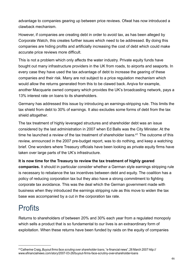advantage to companies gearing up between price reviews. Ofwat has now introduced a clawback mechanism.

However, if companies are creating debt in order to avoid tax, as has been alleged by Corporate Watch, this creates further issues which need to be addressed. By doing this companies are hiding profits and artificially increasing the cost of debt which could make accurate price reviews more difficult.

This is not a problem which only affects the water industry. Private equity funds have bought out many infrastructure providers in the UK from roads, to airports and seaports. In every case they have used the tax advantage of debt to increase the gearing of these companies and their risk. Many are not subject to a price regulation mechanism which would allow the returns generated from this to be clawed back. Arqiva for example, another Macquarie owned company which provides the UK's broadcasting network, pays a 13% interest rate on loans to its shareholders.

Germany has addressed this issue by introducing an earnings-stripping rule. This limits the tax shield from debt to 30% of earnings. It also excludes some forms of debt from the tax shield altogether.

The tax treatment of highly leveraged structures and shareholder debt was an issue considered by the last administration in 2007 when Ed Balls was the City Minister. At the time he launched a review of the tax treatment of shareholder loans. <sup>41</sup> The outcome of this review, announced in the 2007 pre-budget report, was to do nothing, and keep a watching brief. One wonders where Treasury officials have been looking as private equity firms have taken over large parts of the UK's infrastructure.

#### **It is now time for the Treasury to review the tax treatment of highly geared**

**companies.** It should in particular consider whether a German style earnings stripping rule is necessary to rebalance the tax incentives between debt and equity. The coalition has a policy of reducing corporation tax but they also have a strong commitment to fighting corporate tax avoidance. This was the deal which the German government made with business when they introduced the earnings stripping rule as this move to widen the tax base was accompanied by a cut in the corporation tax rate.

#### **Profits**

Returns to shareholders of between 20% and 30% each year from a regulated monopoly which sells a product that is so fundamental to our lives is an extraordinary form of exploitation. When these returns have been funded by raids on the equity of companies

<sup>41</sup>Catherine Craig,*Buyout firms face scruting over shareholder loans,*"e-financial news",26 March 2007 http:// www.efinancialnews.com/story/2007-03-26/buyout-firms-face-scrutiny-over-shareholder-loans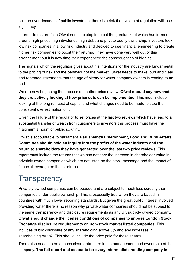built up over decades of public investment there is a risk the system of regulation will lose legitimacy.

In order to restore faith Ofwat needs to step in to cut the gordian knot which has formed around high prices, high dividends, high debt and private equity ownership. Investors took low risk companies in a low risk industry and decided to use financial engineering to create higher risk companies to boost their returns. They have done very well out of this arrangement but it is now time they experienced the consequences of high risk.

The signals which the regulator gives about his intentions for the industry are fundamental to the pricing of risk and the behaviour of the market. Ofwat needs to make loud and clear and repeated statements that the age of plenty for water company owners is coming to an end.

We are now beginning the process of another price review. **Ofwat should say now that they are actively looking at how price cuts can be implemented.** This must include looking at the long run cost of capital and what changes need to be made to stop the consistent overestimation of it.

Given the failure of the regulator to set prices at the last two reviews which have lead to a substantial transfer of wealth from customers to investors this process must have the maximum amount of public scrutiny.

Ofwat is accountable to parliament. **Parliament's Environment, Food and Rural Affairs Committee should hold an inquiry into the profits of the water industry and the return to shareholders they have generated over the last two price reviews.** This report must include the returns that we can not see: the increase in shareholder value in privately owned companies which are not listed on the stock exchange and the impact of financial leverage on those returns.

### **Transparency**

Privately owned companies can be opaque and are subject to much less scrutiny than companies under public ownership. This is especially true when they are based in countries with much lower reporting standards. But given the great public interest involved providing water there is no reason why private water companies should not be subject to the same transparency and disclosure requirements as any UK publicly owned company. **Ofwat should change the license conditions of companies to impose London Stock Exchange disclosure requirements on non-stock market listed companies.** This includes public disclosure of any shareholding above 3% and any increases in shareholding by 1%. This should include the price paid for these shares.

There also needs to be a much clearer structure in the management and ownership of the company. **The full report and accounts for every intermediate holding company in**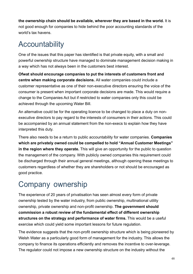**the ownership chain should be available, wherever they are based in the world.** It is not good enough for companies to hide behind the poor accounting standards of the world's tax havens.

### **Accountability**

One of the issues that this paper has identified is that private equity, with a small and powerful ownership structure have managed to dominate management decision making in a way which has not always been in the customers best interest.

**Ofwat should encourage companies to put the interests of customers front and centre when making corporate decisions.** All water companies could include a customer representative as one of their non-executive directors ensuring the voice of the consumer is present when important corporate decisions are made. This would require a change to the Companies Act but if restricted to water companies only this could be achieved through the upcoming Water Bill.

An alternative could be for the operating licence to be changed to place a duty on nonexecutive directors to pay regard to the interests of consumers in their actions. This could be accompanied by an annual statement from the non-execs to explain how they have interpreted this duty.

There also needs to be a return to public accountability for water companies. **Companies which are privately owned could be compelled to hold "Annual Customer Meetings" in the region where they operate.** This will give an opportunity for the public to question the management of the company. With publicly owned companies this requirement could be discharged through their annual general meetings, although opening these meetings to customers regardless of whether they are shareholders or not should be encouraged as good practice.

### Company ownership

The experience of 20 years of privatisation has seen almost every form of private ownership tested by the water industry, from public ownership, multinational utility ownership, private ownership and non-profit ownership. **The government should commission a robust review of the fundamental effect of different ownership structures on the strategy and performance of water firms.** This would be a useful exercise which could yield some important lessons for future regulation.

The evidence suggests that the non-profit ownership structure which is being pioneered by Welsh Water as a particularly good form of management for the industry. This allows the company to finance its operations efficiently and removes the incentive to over-leverage. The regulator could not impose a new ownership structure on the industry without the